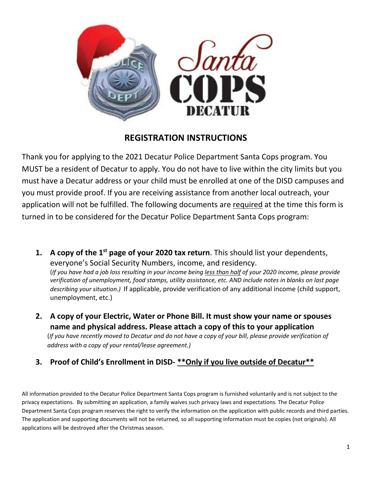

## **REGISTRATION INSTRUCTIONS**

Thank you for applying to the 2021 Decatur Police Department Santa Cops program. You MUST be a resident of Decatur to apply. You do not have to live within the city limits but you must have a Decatur address or your child must be enrolled at one of the DISD campuses and you must provide proof. If you are receiving assistance from another local outreach, your application will not be fulfilled. The following documents are required at the time this form is turned in to be considered for the Decatur Police Department Santa Cops program:

- **1. A copy of the 1st page of your 2020 tax return**. This should list your dependents, everyone's Social Security Numbers, income, and residency. (*If you have had a job loss resulting in your income being less than half of your 2020 income, please provide verification of unemployment, food stamps, utility assistance, etc. AND include notes in blanks on last page describing your situation.)* If applicable, provide verification of any additional income (child support, unemployment, etc.)
- **2. A copy of your Electric, Water or Phone Bill. It must show your name or spouses name and physical address. Please attach a copy of this to your application** (*If you have recently moved to Decatur and do not have a copy of your bill, please provide verification of address with a copy of your rental/lease agreement.)*
- **3. Proof of Child's Enrollment in DISD- \*\*Only if you live outside of Decatur\*\***

All information provided to the Decatur Police Department Santa Cops program is furnished voluntarily and is not subject to the privacy expectations. By submitting an application, a family waives such privacy laws and expectations. The Decatur Police Department Santa Cops program reserves the right to verify the information on the application with public records and third parties. The application and supporting documents will not be returned, so all supporting information must be copies (not originals). All applications will be destroyed after the Christmas season.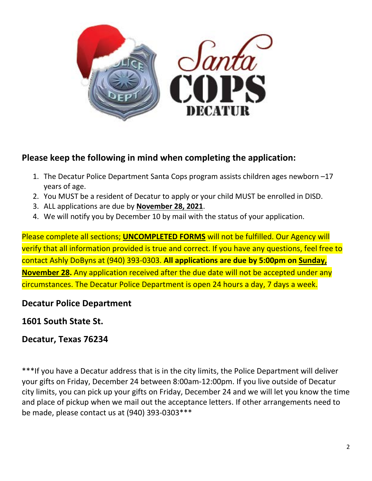

## **Please keep the following in mind when completing the application:**

- 1. The Decatur Police Department Santa Cops program assists children ages newborn –17 years of age.
- 2. You MUST be a resident of Decatur to apply or your child MUST be enrolled in DISD.
- 3. ALL applications are due by **November 28, 2021**.
- 4. We will notify you by December 10 by mail with the status of your application.

Please complete all sections; **UNCOMPLETED FORMS** will not be fulfilled. Our Agency will verify that all information provided is true and correct. If you have any questions, feel free to contact Ashly DoByns at (940) 393-0303. **All applications are due by 5:00pm on Sunday, November 28.** Any application received after the due date will not be accepted under any circumstances. The Decatur Police Department is open 24 hours a day, 7 days a week.

## **Decatur Police Department**

**1601 South State St.**

**Decatur, Texas 76234**

\*\*\*If you have a Decatur address that is in the city limits, the Police Department will deliver your gifts on Friday, December 24 between 8:00am-12:00pm. If you live outside of Decatur city limits, you can pick up your gifts on Friday, December 24 and we will let you know the time and place of pickup when we mail out the acceptance letters. If other arrangements need to be made, please contact us at (940) 393-0303\*\*\*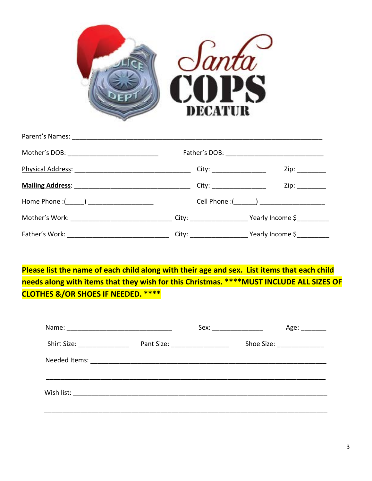

| Mother's DOB: _______________________________                                                         |                             |                                               |
|-------------------------------------------------------------------------------------------------------|-----------------------------|-----------------------------------------------|
|                                                                                                       | City: _____________________ | Zip:                                          |
|                                                                                                       | City: _____________________ |                                               |
|                                                                                                       |                             | Cell Phone :(________) ______________________ |
| Mother's Work: ________________________________City: ______________________Yearly Income \$__________ |                             |                                               |
|                                                                                                       |                             |                                               |

**Please list the name of each child along with their age and sex. List items that each child needs along with items that they wish for this Christmas. \*\*\*\*MUST INCLUDE ALL SIZES OF CLOTHES &/OR SHOES IF NEEDED. \*\*\*\***

|                             |                                 |                             | Age: ________ |
|-----------------------------|---------------------------------|-----------------------------|---------------|
| Shirt Size: _______________ | Pant Size: ____________________ | Shoe Size: ________________ |               |
|                             |                                 |                             |               |
|                             |                                 |                             |               |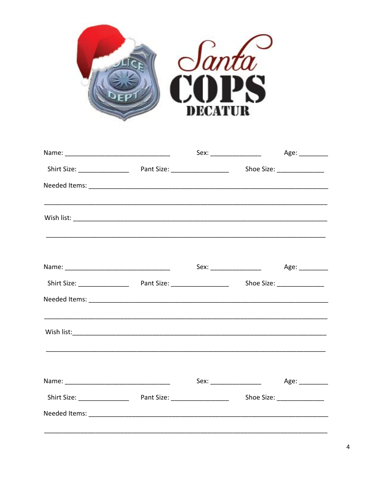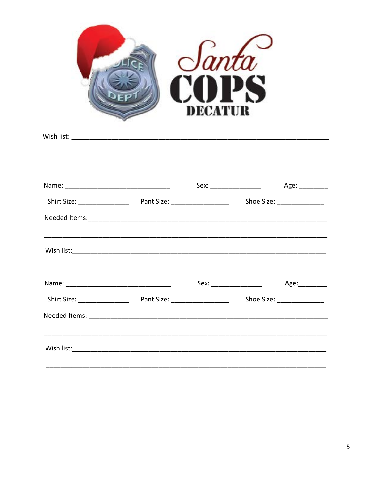| $S$ anta<br>COPS<br>DECATUR |  |  |                           |               |  |
|-----------------------------|--|--|---------------------------|---------------|--|
|                             |  |  |                           |               |  |
|                             |  |  |                           |               |  |
|                             |  |  |                           |               |  |
|                             |  |  |                           |               |  |
|                             |  |  | Sex: ___________________  | Age:_________ |  |
|                             |  |  | Shoe Size: ______________ |               |  |
|                             |  |  |                           |               |  |